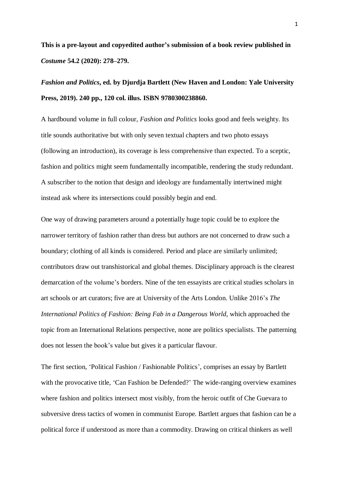**This is a pre-layout and copyedited author's submission of a book review published in**  *Costume* **54.2 (2020): 278–279.**

## *Fashion and Politics***, ed. by Djurdja Bartlett (New Haven and London: Yale University Press, 2019). 240 pp., 120 col. illus. ISBN 9780300238860.**

A hardbound volume in full colour, *Fashion and Politics* looks good and feels weighty. Its title sounds authoritative but with only seven textual chapters and two photo essays (following an introduction), its coverage is less comprehensive than expected. To a sceptic, fashion and politics might seem fundamentally incompatible, rendering the study redundant. A subscriber to the notion that design and ideology are fundamentally intertwined might instead ask where its intersections could possibly begin and end.

One way of drawing parameters around a potentially huge topic could be to explore the narrower territory of fashion rather than dress but authors are not concerned to draw such a boundary; clothing of all kinds is considered. Period and place are similarly unlimited; contributors draw out transhistorical and global themes. Disciplinary approach is the clearest demarcation of the volume's borders. Nine of the ten essayists are critical studies scholars in art schools or art curators; five are at University of the Arts London. Unlike 2016's *The International Politics of Fashion: Being Fab in a Dangerous World*, which approached the topic from an International Relations perspective, none are politics specialists. The patterning does not lessen the book's value but gives it a particular flavour.

The first section, 'Political Fashion / Fashionable Politics', comprises an essay by Bartlett with the provocative title, 'Can Fashion be Defended?' The wide-ranging overview examines where fashion and politics intersect most visibly, from the heroic outfit of Che Guevara to subversive dress tactics of women in communist Europe. Bartlett argues that fashion can be a political force if understood as more than a commodity. Drawing on critical thinkers as well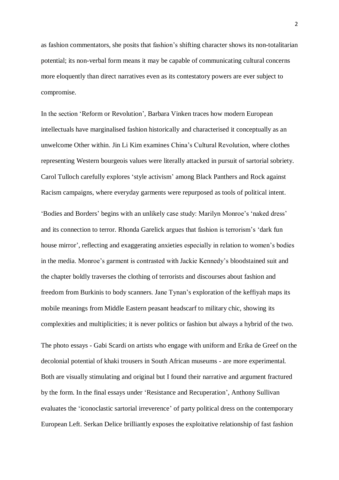as fashion commentators, she posits that fashion's shifting character shows its non-totalitarian potential; its non-verbal form means it may be capable of communicating cultural concerns more eloquently than direct narratives even as its contestatory powers are ever subject to compromise.

In the section 'Reform or Revolution', Barbara Vinken traces how modern European intellectuals have marginalised fashion historically and characterised it conceptually as an unwelcome Other within. Jin Li Kim examines China's Cultural Revolution, where clothes representing Western bourgeois values were literally attacked in pursuit of sartorial sobriety. Carol Tulloch carefully explores 'style activism' among Black Panthers and Rock against Racism campaigns, where everyday garments were repurposed as tools of political intent.

'Bodies and Borders' begins with an unlikely case study: Marilyn Monroe's 'naked dress' and its connection to terror. Rhonda Garelick argues that fashion is terrorism's 'dark fun house mirror', reflecting and exaggerating anxieties especially in relation to women's bodies in the media. Monroe's garment is contrasted with Jackie Kennedy's bloodstained suit and the chapter boldly traverses the clothing of terrorists and discourses about fashion and freedom from Burkinis to body scanners. Jane Tynan's exploration of the keffiyah maps its mobile meanings from Middle Eastern peasant headscarf to military chic, showing its complexities and multiplicities; it is never politics or fashion but always a hybrid of the two.

The photo essays - Gabi Scardi on artists who engage with uniform and Erika de Greef on the decolonial potential of khaki trousers in South African museums - are more experimental. Both are visually stimulating and original but I found their narrative and argument fractured by the form. In the final essays under 'Resistance and Recuperation', Anthony Sullivan evaluates the 'iconoclastic sartorial irreverence' of party political dress on the contemporary European Left. Serkan Delice brilliantly exposes the exploitative relationship of fast fashion